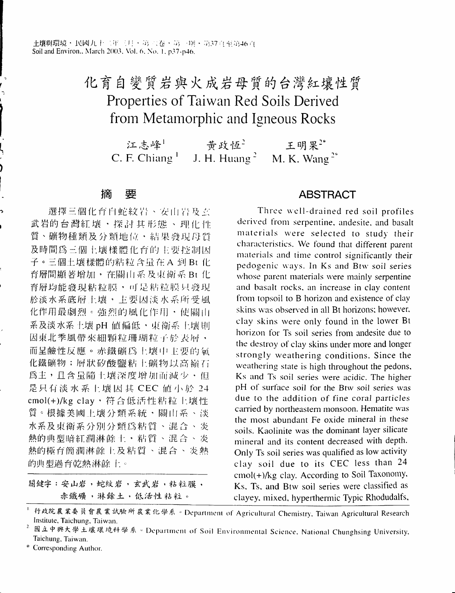# 化育自變質岩與火成岩母質的台灣紅壤性質 Properties of Taiwan Red Soils Derived from Metamorphic and Igneous Rocks

江志峰! 黄政恆2 王明果" C. F. Chiang<sup>1</sup> J. H. Huang<sup>2</sup> M. K. Wang<sup> $2*$ </sup>

#### 摘 要

選擇三個化育白蛇紋岩、安山岩及玄 武岩的台灣紅壤,探討其形態、理化性 質、礦物種類及分類地位、結果發現母質 及時間為三個土壤樣體化育的主要控制因 子。三個土壤樣體的粘粒含量在 A 到 Bt 化 育層間顯著增加,在關山系及東衛系 Bt 化 育層均能發現粘粒膜,可是粘粒膜只發現 於淡水系底層上壤,主要因淡水系所受風 化作用最劇烈。強烈的風化作用,使關山 系及淡水系土壤 pH 值偏低,東衛系土壤則 因東北季風帶來細顆粒珊瑚粒子於表層, 而呈鹼性反應。赤鐵礦為土壤中主要的氧 化鐵礦物;層狀矽酸鹽粘土礦物以高嶺石 為主,且含量隨土壤深度增加而減少,但 是只有淡水系上壤因其 CEC 值小於 24 cmol(+)/kg clay,符合低活性粘粒上壤性 質。根據美國上壤分類系統,關山系、淡 水系及東衛系分別分類為粘質、混合、炎 熱的典型暗紅潤淋餘土,粘質、混合、炎 熱的極育簡潤淋餘上及粘質、混合、炎熱 的典型過育乾熱淋餘上。

關鍵字:安山岩,蛇紋岩,玄武岩,粘粒膜, 赤鐵礦,淋餘土,低活性粘粒。

## **ABSTRACT**

Three well-drained red soil profiles derived from serpentine, andesite, and basalt materials were selected to study their characteristics. We found that different parent materials and time control significantly their pedogenic ways. In Ks and Btw soil series whose parent materials were mainly serpentine and basalt rocks, an increase in clay content from topsoil to B horizon and existence of clay skins was observed in all Bt horizons; however, clay skins were only found in the lower Bt horizon for Ts soil series from andesite due to the destroy of clay skins under more and longer strongly weathering conditions. Since the weathering state is high throughout the pedons. Ks and Ts soil series were acidic. The higher pH of surface soil for the Btw soil series was due to the addition of fine coral particles carried by northeastern monsoon. Hematite was the most abundant Fe oxide mineral in these soils. Kaolinite was the dominant layer silicate mineral and its content decreased with depth. Only Ts soil series was qualified as low activity clay soil due to its CEC less than 24 cmol(+)/kg clay. According to Soil Taxonomy, Ks, Ts, and Btw soil series were classified as clayey, mixed, hyperthermic Typic Rhodudalfs,

行政院農業委員會農業試驗所農業化學系。Department of Agricultural Chemistry, Taiwan Agricultural Research Institute, Taichung, Taiwan.

國立中興大學土壤環境科學系。Department of Soil Environmental Science, National Chunghsing University, Taichung, Taiwan.

<sup>\*</sup> Corresponding Author.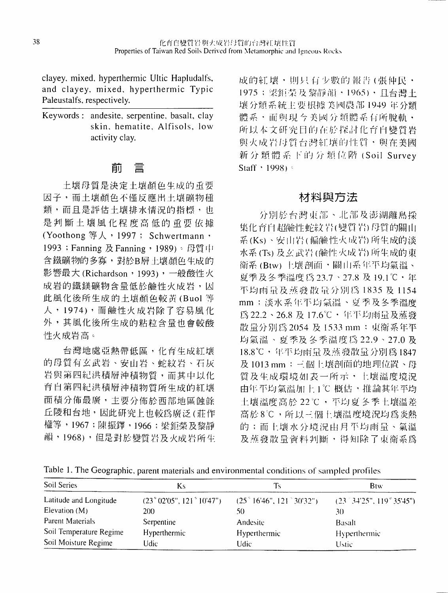clayey, mixed, hyperthermic Ultic Hapludalfs, and clayey, mixed, hyperthermic Typic Paleustalfs, respectively.

Keywords: andesite, serpentine, basalt, clay skin. hematite. Alfisols. low activity clay.

## 。<br>- -刖昌

士壞母買是決定士壞顏色牛成的重要 因子,而士壞顏色不僅反應卅士塽礦物種 類,而且是評估土壤排水情況的指標,也 是判斷土壤風化程度高低的重要依據 (Yoothong 等人, 1997; Schwertmann, 1993; Fanning 及 Fanning, 1989)。母質中 含鐵礦物的多寡,對於B層土壤顏色生成的 影響最大(Richardson, 1993),一般酸性火 成岩的鐵鎂礦物含量低於鹼性火成岩,因 此風化後所生成的土壞顏色較黃(Buol等 人,1974),而鹼性火成岩除了容易風化 外,其風化後所生成的帖粒含量也會較酸 .∣生火成岩高‧

台灣地處啞熱帶低區,化育生成紅壢 的母質有玄武岩﹑安山岩、蛇紋岩﹑石灰 岩與第四紀洪積層沖積物質,而其中以化 育自第四紀洪積層沖槓物質所生成的紅嚷 面積分佈最廣,主要分佈舶西部地匾蝕餘 丘陵和台地,因此研究上也較為廣泛(莊作 權等,lg67;陳振鐸,l966;梁鉅榮及黎靜 韻,1968),但是對於變質岩及火成岩所生 成的紅壤,則只有少數的報告(張仲民· I975;梁鉅榮及黎靜韻,1965),且台灣土 壊分類系統主要根據美國農部 1949 年分類 間系‧而與現今美國分類體系有所脫軌‧ 所以本文i﹜「究日∣i(j∕IⅢ﹑探I;'I化行H變質岩 與火成岩母質台灣紅壤的性質, 與在美國 新分類體系下的分類位階(Soil Survey Staff  $\cdot$  1998)  $\approx$ 

## 材料與方法

分別於台灣東部、北部及澎湖離島採 集化育自超鹼性蛇紋岩(變質岩)母質的關山 系(Ks)、安山岩(偏鹼性火成岩)所生成的淡 水系(Ts)及玄武岩(鹼性火成岩)所生成的東 衛系(Btw)上壤剖面,關山系年平均氣溫、 夏季及冬季溫度為23.7、27.8 及19.1℃,年 平均雨量及蒸發散量分別為1835及1154 mm;淡水系年平均氣溫、夏季及冬季溫度 為22.2、26.8 及 17.6℃, 年平均雨量及蒸發 散量分別為 2054 及 1533 mm : 東衛系年平 均氣溫、夏季及冬季溫度為22.9、27.0及 18.8℃,年平均雨量及蒸發散量分別為1847 及1013mm;三個上壤剖面的地理位置、母 質及生成環境如表一所示,上壤溫度境況 由年平均氣溫加上1℃概估,推論其年平均 土壤溫度高於22℃,不均夏冬季土壤溫差 高於8℃,所以三個上壤溫度境況均為炎熱 的;而上壤水分境況由月平均雨量、氣溫 及蒸發散量資料判斷,得知除了東衛系為

Table 1. The Geographic, parent materials and environmental conditions of sampled profiles

| Soil Series             | Ks.                     | Ts                      | <b>B</b> tw                             |  |
|-------------------------|-------------------------|-------------------------|-----------------------------------------|--|
| Latitude and Longitude  | (23°02'05", 121°10'47") | (25°16'46", 121°30'32") | $(23^{\circ}34'25", 119^{\circ}35'45")$ |  |
| Elevation $(M)$         | 200                     | 50                      | 30.                                     |  |
| Parent Materials        | Serpentine              | Andesite                | Basalt                                  |  |
| Soil Temperature Regime | Hyperthermic            | Hyperthermic            | <b>Hyperthermic</b>                     |  |
| Soil Moisture Regime    | Udic                    | Udic                    | Ustic                                   |  |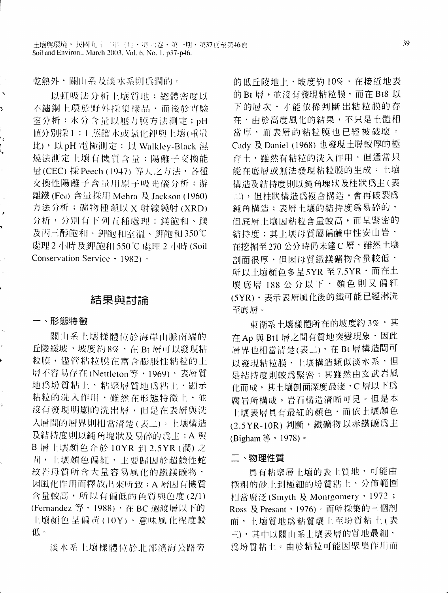乾熱外,關山系及淡水系則為潤的。

以虹吸法分析上壤質地;總體密度以 不鏽鋼上環於野外採集樣品・而後於實驗 室分析;水分含量以壓力膜方法測定;pH 值分別採1:1蒸餾水或氯化鉀與土壤(重量 比), 以pH 電極測定: 以 Walkley-Black 濕 燒法測定上壤有機質含量:陽離子交換能 量(CEC) 採 Peech (1947) 等人之方法 · 各種 交換性陽離子含量用原子吸光儀分析;游 離鐵 (Fea) 含量採用 Mehra 及 Jackson (1960) 方法分析; 磺物種類以 X 射線繞射 (XRD) 分析,分別有下列五種處理:鎂飽和、鎂 及丙三醇飽和、鉀飽和室溫、鉀飽和350℃ 處理 2 小時 及鉀飽和 550℃ 處理 2 小時 (Soil Conservation Service  $\cdot$  1982)  $\circ$ 

## 結果與討論

#### 一、形態特徵

 $\bar{\gamma}$ 

 $\overline{\phantom{a}}$ 

關山系上壤樣體位於海岸山脈南端的 丘陵緩坡,坡度約8%,在Bt層可以發現粘 粒膜,儘管粘粒膜在富含膨脹性粘粒的上 層不容易存在(Nettleton等,1969),表層質 地為坋質粘上,粘聚層質地為粘土,顯示 粘粒的洗入作用,雖然在形態特徵上,並 沒有發現明顯的洗出層,但是在表層與洗 入層間的層界則相當清楚(表二)。上壤構造 及結持度則以鈍角塊狀及易碎的為主;A 與 B 層土壤顏色介於 10YR 到 2.5YR (潤) 之 間,上壤顏色偏紅,上要歸因於超鹼性蛇 紋岩母質所含大量容易風化的鐵鎂礦物, 因風化作用而釋放出來所致; A 層因有機質 含量較高,所以有偏低的色質與色度(2/1) (Fernandez 等, 1988), 在 BC 過渡層以下的 土壤顏色呈偏黃(10Y),意味風化程度較 低。

淡水系土壤樣體位於北部濱海公路旁

的低丘陵地上,坡度約10%,在接近地表 的Bt 層,並沒有發現粘粒膜,而在Bt8 以 下的層次,才能依稀判斷出粘粒膜的存 在·由於高度風化的結果,不只是土體相 當厚、而表層的粘粒膜也已經被破壞。 Cady 及 Daniel (1968) 也發現土層較厚的極 育土, 雖然有粘粒的洗入作用, 但通常只 能在底層或無法發現粘粒膜的生成。土壤 構造及結持度則以鈍角塊狀及柱狀爲主(表 二),但柱狀構造為複合構造,會再破裂為 鈍角構造;表層土壤的結持度為易碎的, 但底層土壤因粘粒含量較高,而呈緊密的 結持度;其土壤母質屬偏鹼中性安山岩· 在挖掘至270公分時仍未達C層,雖然土壤 剖面很厚·但因母質鐵鎂礦物含量較低· 所以土壤顏色多呈5YR 至7.5YR · 而在土 壤 底層 188 公 分以 下 ・ 顏 色 則 又 偏 紅 (5YR),表示表層風化後的鐵可能已經淋洗 至底層。

東衛系土壤樣體所在的坡度約3%,其 在 Ap 與 Btl 層之間有質地突變現象 · 因此 層界也相當清楚(表二),在Bt層構造間可 以發現粘粒膜,土壤構造類似淡水系,但 是結持度則較為緊密;其雖然由玄武岩風 化而成,其土壤剖面深度最淺,C層以下為 腐岩所構成,岩石構造清晰可見。但是本 上壤表層具有最紅的顏色・而依土壤顏色 (2.5YR-10R) 判斷, 鐵礦物以赤鐵礦為主 (Bigham 等, 1978)。

#### 二、物理性質

具有粘聚層土壤的表土質地・可能由 極粗的砂上到極細的坋質粘土,分佈範圍 相當廣泛(Smyth 及 Montgomery, 1972; Ross 及 Presant, 1976)。而所採集的三個剖 面, 上壤質地為粘質壤土至坋質粘土(表 三)、其中以關山系上壞表層的質地最細, 為坋質粘土。由於粘粒可能因聚集作用而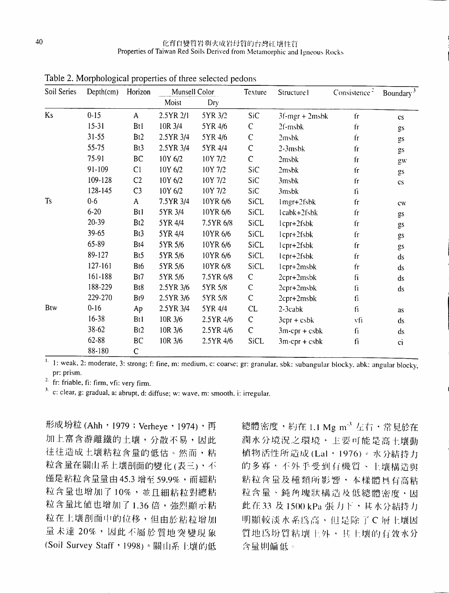| Soil Series | Depth(cm)  | Horizon                   | Munsell Color |           | Texture      | Structure I                                  | Consistence <sup>-</sup> | Boundary <sup>3</sup>  |
|-------------|------------|---------------------------|---------------|-----------|--------------|----------------------------------------------|--------------------------|------------------------|
|             |            |                           | Moist         | Dry       |              |                                              |                          |                        |
| Ks          | $0 - 15$   | $\boldsymbol{\mathsf{A}}$ | 2.5YR 2/1     | 5YR 3/2   | SiC          | $3f$ -mgr + $2m$ sbk                         | fr                       | $\mathbf{c}\mathbf{s}$ |
|             | $15 - 31$  | Btl                       | 10R 3/4       | 5YR 4/6   | C            | 2f-msbk                                      | fг                       | gs                     |
|             | $31 - 55$  | Bt2                       | 2.5YR 3/4     | 5YR 4/6   | $\mathsf{C}$ | 2msbk                                        | fr                       | gs                     |
|             | 55-75      | Bt <sub>3</sub>           | 2.5YR 3/4     | 5YR 4/4   | $\mathsf C$  | $2-3$ msb $k$                                | $f_{\Gamma}$             | gs                     |
|             | 75-91      | BC                        | 10Y 6/2       | 10Y 7/2   | $\mathsf C$  | 2msbk                                        | fr                       | gw                     |
|             | $91 - 109$ | C1                        | 10Y 6/2       | 10Y 7/2   | SiC          | 2msbk                                        | $\dot{\mathbf{r}}$       | gs                     |
|             | 109-128    | C <sub>2</sub>            | 10Y 6/2       | 10Y 7/2   | SiC          | 3msbk                                        | $f_{\rm T}$              | $\mathsf{cs}$          |
|             | 128-145    | C <sub>3</sub>            | 10Y 6/2       | 10Y 7/2   | SiC          | 3msbk                                        | fi                       |                        |
| <b>Ts</b>   | $0 - 6$    | $\mathsf{A}$              | 7.5YR 3/4     | 10YR 6/6  | SiCL         | 1mgr+2fsbk                                   | ${\rm fr}$               | cw                     |
|             | $6 - 20$   | Bt1                       | 5YR 3/4       | 10YR 6/6  | SiCL         | lcabk+2fsbk                                  | $f_{\rm T}$              | gs                     |
|             | 20-39      | Bt <sub>2</sub>           | 5YR 4/4       | 7.5YR 6/8 | SiCL         | lcpr+2fsbk                                   | $f_{\Gamma}$             | gs                     |
|             | 39-65      | Bt3                       | 5YR 4/4       | 10YR 6/6  | SiCL         | lcpr+2fsbk                                   | ${\rm fr}$               | gs                     |
|             | 65-89      | Bt4                       | 5YR 5/6       | 10YR 6/6  | <b>SiCL</b>  | $1$ cpr+ $2$ fsb $k$                         | fr                       | gs                     |
|             | 89-127     | Bt <sub>5</sub>           | 5YR 5/6       | 10YR 6/6  | SiCL         | lcpr+2fsbk                                   | f <sub>r</sub>           | ds                     |
|             | 127-161    | Bt6                       | 5YR 5/6       | 10YR 6/8  | SiCL         | lcpr+2msbk                                   | $f_{\Gamma}$             | ds                     |
|             | 161-188    | Bt7                       | 5YR 5/6       | 7.5YR 6/8 | C            | 2cpr+2msbk                                   | fi                       | ds                     |
|             | 188-229    | B <sub>t</sub> 8          | 2.5YR 3/6     | 5YR 5/8   | $\mathsf C$  | 2cpr+2msbk                                   | fi                       | ds                     |
|             | 229-270    | Bt9                       | 2.5YR 3/6     | 5YR 5/8   | $\mathsf C$  | $2$ cpr+ $2$ msb $k$                         | fi                       |                        |
| <b>Btw</b>  | $0 - 16$   | Ap                        | 2.5YR 3/4     | 5YR 4/4   | CL           | $2-3cabk$                                    | $\mathbf{f}_1$           | <b>as</b>              |
|             | 16-38      | Bt1                       | 10R 3/6       | 2.5YR 4/6 | $\mathsf C$  | $3 \text{cpr} + \text{c} \text{s} \text{bk}$ | vfi                      | ds                     |
|             | 38-62      | Bt2                       | 10R 3/6       | 2.5YR 4/6 | $\mathsf{C}$ | $3m$ -cpr + csbk                             | fi                       | ds                     |
|             | 62-88      | BC                        | 10R 3/6       | 2.5YR 4/6 | SiCL         | $3m$ -cpr + csbk                             | fi                       | ci                     |
|             | $88 - 180$ | $\Gamma$                  |               |           |              |                                              |                          |                        |

Table 2. Morphological properties of three selected pedons

 $\mathbf{1}$ . 1: weak, 2: moderate, 3: strong; f: fine, m: medium, c: coarse; gr: granular, sbk: subangular blocky, abk: angular blocky, pr: prism.

<sup>2.</sup> fr: friable, fi: firm, vfi: very firm.

 $3.$  c: clear, g: gradual, a: abrupt, d: diffuse; w: wave, m: smooth, i: irregular.

形成坋粒(Ahh, 1979; Verheye, 1974), 再 加上富含游離鐵的土壤,分散不易,因此 往往造成土壤粘粒含量的低估。然而,粘 粒含量在關山系上壤剖面的變化(表三),不 僅是粘粒含量量由 45.3 增至 59.9%,而細粘 粒含量也增加了10%,並且細粘粒對總粘 粒含量比值也增加了1.36倍,強烈顯示粘 粒在上壤剖面中的位移,但由於粘粒增加 量未達 20%,因此不屬於質地突變現象 (Soil Survey Staff, 1998)。關山系土壤的低

總體密度,約在1.1 Mg m3 左右,常見於在 潤水分境況之環境,主要可能是高土壤動 植物活性所造成 (Lal,1976)。水分結持力 的多寡,不外乎受到有機質、上壤構造與 粘粒含量及種類所影響,本樣體具有高粘 粒含量、鈍角塊狀構造及低總體密度,因 此在33 及1500 kPa 張力下,其水分結持力 明顯較淡水系為高,但是除了C層土壤因 質地為坋質粘壤十外,其土壤的有效水分 含量則偏低。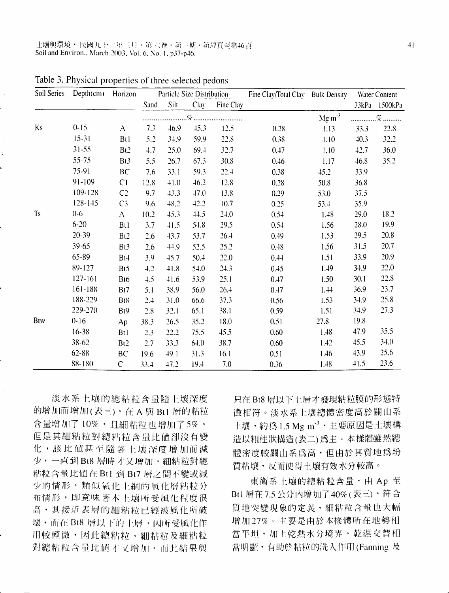土壤與環境,民國九十二年三月,第六卷,第一期,第37頁至第46頁 Soil and Environ., March 2003, Vol. 6, No. 1, p37-p46.

| Soil Series    | Depth(cm) Horizon |                 |      |      | Particle Size Distribution |           | Fine Clay/Total Clay Bulk Density |                  | Water Content |               |
|----------------|-------------------|-----------------|------|------|----------------------------|-----------|-----------------------------------|------------------|---------------|---------------|
|                |                   |                 | Sand | Silt | Clay                       | Fine Clay |                                   |                  |               | 33kPa 1500kPa |
|                |                   |                 |      |      |                            | %         |                                   | $Mg \text{ m}^3$ |               |               |
| Ks             | $0 - 15$          | A               | 7.3  | 46.9 | 45.3                       | 12.5      | 0.28                              | 1.13             | 33.3          | 22.8          |
|                | $15 - 31$         | <b>Bt1</b>      | 5.2  | 34.9 | 59.9                       | 22.8      | 0.38                              | 1.10             | 40.3          | 32.2          |
|                | $31 - 55$         | Bt <sub>2</sub> | 4.7  | 25.0 | 69.4                       | 32.7      | 0.47                              | 1.10             | 42.7          | 36.0          |
|                | 55-75             | Bt3             | 5.5  | 26.7 | 67.3                       | 30.8      | 0.46                              | 1.17             | 46.8          | 35.2          |
|                | 75-91             | BC              | 7.6  | 33.1 | 59.3                       | 22.4      | 0.38                              | 45.2             | 33.9          |               |
|                | $91 - 109$        | C1              | 12.8 | 41.0 | 46.2                       | 12.8      | 0.28                              | 50.8             | 36.8          |               |
|                | 109-128           | C <sub>2</sub>  | 9.7  | 43.3 | 47.0                       | 13.8      | 0.29                              | 53.0             | 37.5          |               |
|                | 128-145           | C <sub>3</sub>  | 9.6  | 48.2 | 42.2                       | 10.7      | 0.25                              | 53.4             | 35.9          |               |
| T <sub>S</sub> | $0 - 6$           | $\mathbf{A}$    | 10.2 | 45.3 | 44.5                       | 24.0      | 0.54                              | 1.48             | 29.0          | 18.2          |
|                | $6 - 20$          | Btl             | 3.7  | 41.5 | 54.8                       | 29.5      | 0.54                              | 1.56             | 28.0          | 19.9          |
|                | 20-39             | Bt2             | 2.6  | 43.7 | 53.7                       | 26.4      | 0.49                              | 1.53             | 29.5          | 20.8          |
|                | 39-65             | Bt3             | 2.6  | 44.9 | 52.5                       | 25.2      | 0.48                              | 1.56             | 31.5          | 20.7          |
|                | 65-89             | Bt4             | 3.9  | 45.7 | 50.4                       | 22.0      | 0.44                              | 1.51             | 33.9          | 20.9          |
|                | 89-127            | Bt5             | 4.2  | 41.8 | 54.0                       | 24.3      | 0.45                              | 1.49             | 34.9          | 22.0          |
|                | $127 - 161$       | B <sub>t6</sub> | 4.5  | 41.6 | 53.9                       | 25.1      | 0.47                              | 1.50             | 30.1          | 22.8          |
|                | 161-188           | Bt7             | 5.1  | 38.9 | 56.0                       | 26.4      | 0.47                              | 1.44             | 36.9          | 23.7          |
|                | 188-229           | Bt8             | 2.4  | 31.0 | 66.6                       | 37.3      | 0.56                              | 1.53             | 34.9          | 25.8          |
|                | 229-270           | B <sub>t9</sub> | 2.8  | 32.1 | 65.1                       | 38.1      | 0.59                              | 1.51             | 34.9          | 27.3          |
| Btw            | $0 - 16$          | Ap              | 38.3 | 26.5 | 35.2                       | 18.0      | 0.51                              | 27.8             | 19.8          |               |
|                | 16-38             | Bt1             | 2.3  | 22.2 | 75.5                       | 45.5      | 0.60                              | 1.48             | 47.9          | 35.5          |
|                | 38-62             | Bt <sub>2</sub> | 2.7  | 33.3 | 64.0                       | 38.7      | 0.60                              | 1.42             | 45.5          | 34.0          |
|                | 62-88             | BC              | 19.6 | 49.1 | 31.3                       | 16.1      | 0.51                              | 1.46             | 43.9          | 25.6          |
|                | 88-180            | $\mathsf{C}$    | 33.4 | 47.2 | 19.4                       | 7.0       | 0.36                              | 1.48             | 41.5          | 23.6          |

Table 3. Physical properties of three selected pedons

淡水系土壤的總粘粒含量隨土壤深度 的增加而增加(表三),在A 與 Btl 層的粘粒 含量增加了10%,且細粘粒也增加了5%, 但是其細粘粒對總粘粒含量比值卻沒有變 化,該比值甚至隨著上壤深度增加而減 少,一直到 Bt8 層時才又增加,細粘粒對總 粘粒含量比值在 Bt1 到 Bt7 層之間不變或減 少的情形, 類似氧化土綱的氧化層粘粒分 布情形,即意味著本土壤所受風化程度很 高,其接近表層的細粘粒已經被風化所破 壞,而在Bt8 層以下的上層,因所受風化作 用較輕微,因此總粘粒、細粘粒及細粘粒 對總粘粒含量比值才又增加,而此結果與

只在 Bt8 層以下土層才發現粘粒膜的形態特 徵相符。淡水系土壤總體密度高於關山系 土壤,約為1.5 Mg m<sup>-3</sup>, 主要原因是土壤構 造以粗柱狀構造(表二)為主。本樣體雖然總 體密度較關山系為高,但由於其質地為坋 質粘壤,反而使得土壤有效水分較高。

東衛系上壤的總粘粒含量,由 Ap 至 Bt1 層在 7.5 公分內增加了 40% (表三),符合 質地突變現象的定義,細粘粒含量也大幅 增加27%。主要是由於本樣體所在地勢相 當平坦,加上乾熱水分境界,乾濕交替相 當明顯, 有助於粘粒的洗入作用(Fanning 及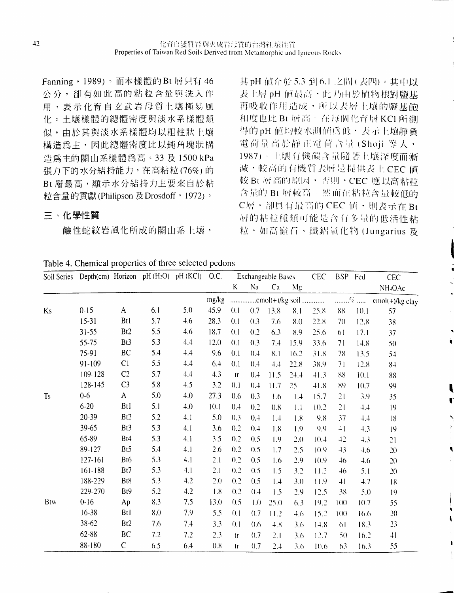Fanning, 1989)。而本樣體的 Bt 層只有 46 公分,卻有如此高的粘粒含量與洗入作 用,表示化育自玄武岩母質上壤極易風 化。土壤樣體的總體密度與淡水系樣體類 似,由於其與淡水系樣體均以粗柱狀上壤 構造篇主,因此總體密度比以鈍角塊狀描 浩為主的關山系樣體為高。33 及 1500 kPa 張力下的水分結持能力,在高粕粒(76℅)的 Bt 層最高,顯示水分結持力上要來自於粘 粒含量的貢獻(Philipson 及Drosdoff, 1972)。

#### 三、化學性質

鹼性蛇紋岩風化所成的關山系上壤,

其 pH 值介於 5.3 到 6.1 之間(表四)。其中以 表上層pH 値最高、此刀由於植物根對鹽基 再吸收作用造成,所以表層上壤的鹽基餉 和度也比 Bt 層高。在每個化育層 KCI 所測 得的pH 値均較水測値為低, 表示上壤靜負 電荷量高於靜正電荷含量(Shoji等人· 1987)。上壤有機碳含量隨著上壤深度而漸 減,較高的有機質表層是提供表上CEC值 較 Bt 層高的原因,否則,CEC 應以高粘粒 含量的 Bt 層較高÷然而在粘粒含量較低的 C層, 卻具有最高的 CEC 值, 則表示在 Bt **層的粘粒種類可能是含有多量的低活性粘** 粒,如高嶺石、鐵鋁氧化物(Jungarius及

I

I

|

| Table 4. Chemical properties of three selected pedons |
|-------------------------------------------------------|
|                                                       |

|            | Soil Series Depth(cm) Horizon pH (H2O) pH (KCl) O.C. |                  |     |     |       |        |     | Exchangeable Bases |      | <b>CEC</b> |                 | BSP Fed | CEC                 |
|------------|------------------------------------------------------|------------------|-----|-----|-------|--------|-----|--------------------|------|------------|-----------------|---------|---------------------|
|            |                                                      |                  |     |     |       | K      | Na  | Ca                 | Mg   |            |                 |         | NH <sub>4</sub> OAc |
|            |                                                      |                  |     |     | mg/kg |        |     |                    |      |            |                 |         |                     |
| Ks         | $0 - 15$                                             | A                | 6.1 | 5.0 | 45.9  | 0.1    | 0.7 | 13.8               | 8.1  | 25.8       | 88              | 10.1    | 57                  |
|            | $15 - 31$                                            | <b>Bt1</b>       | 5.7 | 4.6 | 28.3  | 0.1    | 0.3 | 7.6                | 8.0  | 22.8       | 70              | 12.8    | 38                  |
|            | $31 - 55$                                            | Bt <sub>2</sub>  | 5.5 | 4.6 | 18.7  | 0.1    | 0.2 | 6.3                | 8.9  | 25.6       | 61              | 17.1    | 37                  |
|            | 55-75                                                | Bt3              | 5.3 | 4.4 | 12.0  | 0.1    | 0.3 | 7.4                | 15.9 | 33.6       | 71              | 14.8    | $50\,$              |
|            | 75-91                                                | BC               | 5.4 | 4,4 | 9.6   | 0.1    | 0.4 | 8.1                | 16.2 | 31.8       | 78              | 13.5    | 54                  |
|            | 91-109                                               | C1               | 5.5 | 4.4 | 6.4   | 0.1    | 0.4 | 4,4                | 22.8 | 38.9       | 71              | 12.8    | $8+$                |
|            | 109-128                                              | C <sub>2</sub>   | 5.7 | 4.4 | 4.3   | tr     | 0.4 | 11.5               | 24.4 | 41.3       | 88              | 10.1    | 88                  |
|            | 128-145                                              | C <sub>3</sub>   | 5.8 | 4.5 | 3.2   | 0.1    | 0.4 | 11.7               | 25   | 41.8       | 89              | 10.7    | 99                  |
| <b>Ts</b>  | $0-6$                                                | $\mathsf{A}$     | 5.0 | 4.0 | 27.3  | 0.6    | 0.3 | 1.6                | 1.4  | 15.7       | 21              | 3.9     | 35                  |
|            | $6 - 20$                                             | Bt1              | 5.1 | 4.0 | 10.1  | 0.4    | 0.2 | 0.8                | 1.1  | 10.2       | 21              | 4.4     | 19                  |
|            | 20-39                                                | B <sub>t</sub> 2 | 5.2 | 4.1 | 5.0   | 0.3    | 0.4 | 1.4                | 1.8  | 9.8        | 37              | 4.4     | 18                  |
|            | 39-65                                                | Bt3              | 5.3 | 4.1 | 3.6   | 0.2    | 0.4 | 1.8                | 1.9  | 9.9        | $+1$            | 4.3     | 19                  |
|            | 65-89                                                | Bt4              | 5.3 | 4.1 | 3.5   | 0.2    | 0.5 | 1.9                | 2.0  | 10.4       | 42              | 4.3     | 21                  |
|            | 89-127                                               | B <sub>t5</sub>  | 5.4 | 4.1 | 2.6   | 0.2    | 0.5 | 1.7                | 2.5  | 10.9       | 43              | 4.6     | 20                  |
|            | $127 - 161$                                          | Bt6              | 5.3 | 4.1 | 2.1   | 0.2    | 0.5 | 1.6                | 2.9  | 10.9       | $\overline{46}$ | 4.6     | 20                  |
|            | $161 - 188$                                          | Bt7              | 5.3 | 4.1 | 2.1   | 0.2    | 0.5 | 1.5                | 3.2  | 11.2       | $\overline{46}$ | 5.1     | 20                  |
|            | 188-229                                              | Bt8              | 5.3 | 4.2 | 2.0   | 0.2    | 0.5 | 1.4                | 3.0  | 11.9       | $\overline{1}$  | 4.7     | 18                  |
|            | 229-270                                              | B <sub>t</sub> 9 | 5.2 | 4.2 | 1.8   | 0.2    | 0.4 | 1.5                | 2,9  | 12.5       | 38              | 5.0     | 19                  |
| <b>Btw</b> | $0 - 16$                                             | Ap               | 8.3 | 7.5 | 13.0  | 0.5    | 1.0 | 25.0               | 6.3  | 19.2       | 1(1()           | 10.7    | 55                  |
|            | $16 - 38$                                            | Bt1              | 8.0 | 7.9 | 5.5   | (0, 1) | 0.7 | 11.2               | 4.6  | 15.2       | 100             | 16.6    | 20                  |
|            | 38-62                                                | B <sub>t2</sub>  | 7.6 | 7.4 | 3.3   | 0.1    | 0.6 | 4.8                | 3.6  | 14.8       | 61              | 18.3    | 23                  |
|            | 62-88                                                | BC               | 7.2 | 7.2 | 2.3   | $1$    | 0.7 | 2.1                | 3.6  | 12.7       | 5()             | 16.2    | 41                  |
|            | 88-180                                               | $\mathsf{C}$     | 6.5 | 6.4 | 0.8   | tr     | 0.7 | 2.4                | 3.6  | 10.6       | 6 <sub>3</sub>  | 16.3    | 55                  |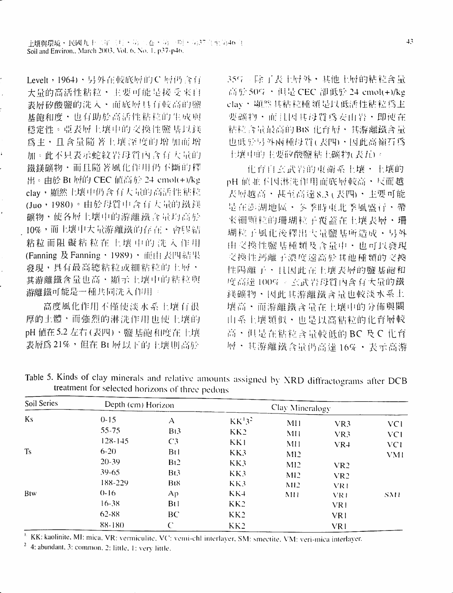Levelt, 1964), 另外在較底層的C 層仍含有 大量的高活性粘粒・主要可能是接受來自 表層矽酸鹽的洗入,而底層具有較高的鹽 基飽和度,也有助於高活性粘粒的生成與 穩定性。亞表層上壤中的交換性鹽基以鎂 為主, 且含量隨著上壤深度的增加而增 加。此不只表示蛇紋岩母質內含有大量的 鐵鎂礦物,而且隨著風化作用仍不斷的釋 出。由於 Bt 層的 CEC 值高於 24 cmol(+)/kg clay, 顯然上壤中仍含有大量的高活性粘粒 (Juo,1980)。由於母質中含有大量的鐵鎂 礦物,使各層土壤中的游離鐵含量均高於 - 10%,而土壤中大量游離鐵的存在,會膠結 粘粒而阻礙粘粒在土壤中的洗入作用 (Fanning 及 Fanning, 1989), 而由表凹結果 發現,具有最高總粘粒或細粘粒的土層, 其游離鐵含量也高、顯示上壤中的粘粒與 游離鐵可能是一種共同洗入作用。

高度風化作用不僅使淡水系上壤有很 厚的土體,而強烈的淋洗作用也使上壤的 pH 値在 5.2 左右 (表四) 、鹽 基飽 和度在 上壤 表層為 21%,但在 Bt 層以下的土壤則高於

35% 除了表上層外,其他上層的粘粒含量 高於50%,但是CEC 卻低於 24 cmol(+)/kg clav, 顯然其粘粒種類是以低活性粘粒為主 要礦物・而且因其母質爲安山岩・即使在 粘粒含量最高的Bt8 化育層,其游離鐵含量 也低於另外兩種母質(表四),因此高嶺石為 土壤中的主要矽酸鹽粘土礦物(表五)。

化育自玄武岩的東衛系上壤・土壤的 pH 值並不因淋洗作用而底層較高·反而越 表層越高・甚至高達8.3(表四)・主要可能 是在澎湖地區,多季時東北季風盛行,帶 來細頸粒的珊瑚粒子覆蓋在上壤表層·珊 瑚粒子風化後釋出大量鹽基所造成·另外 由交換性鹽基種類及含量中・也可以發現 交換性钙離子濃度遠高於其他種類的交換 性陽離子,且因此在土壤表層的鹽基飽和 度高達100%。玄武岩母質內含有大量的鐵 鎂礦物・因此其游離鐵含量也較淡水系土 壊高・而游離鐵含量在上壤中的分佈與關 山系上壤類似,也是以高粘粒的化育層較 高,但是在粘粒含量較低的BC及C化育 層,其游離鐵含量仍高達16%,表示高游

| Soil Series<br><b>Ks</b> | Depth (cm) Horizon |                 | Clay Mineralogy                |                 |                 |            |  |  |
|--------------------------|--------------------|-----------------|--------------------------------|-----------------|-----------------|------------|--|--|
|                          | $0 - 15$           | А               | KK <sup>1</sup> 3 <sup>2</sup> | MH              | VR3             | VC1        |  |  |
|                          | $55 - 75$          | B <sub>1</sub>  | KK2                            | MH              | VR3             | VC1        |  |  |
|                          | $128 - 145$        | C <sub>3</sub>  | KK1                            | MH              | $VR+$           | VC1        |  |  |
| <b>Ts</b>                | $6 - 20$           | Bt1             | KK3                            | MI <sub>2</sub> |                 | VM1        |  |  |
|                          | $20 - 39$          | B <sub>12</sub> | KK3                            | M12             | VR <sub>2</sub> |            |  |  |
|                          | $39 - 65$          | B <sub>13</sub> | KK3                            | MI <sub>2</sub> | VR <sub>2</sub> |            |  |  |
|                          | 188-229            | B <sub>18</sub> | KK3                            | M12             | VR1             |            |  |  |
| <b>Btw</b>               | $0 - 16$           | Ap              | $KK+$                          | MH              | VR1             | <b>SM1</b> |  |  |
|                          | $16 - 38$          | Bt1             | KK2                            |                 | VR1             |            |  |  |
|                          | 62-88              | BC              | KK2                            |                 | VR1             |            |  |  |
|                          | 88-180             | $\mathcal{C}$   | KK2                            |                 | VR1             |            |  |  |

Table 5. Kinds of clay minerals and relative amounts assigned by XRD diffractograms after DCB treatment for selected horizons of three pedons

<sup>1.</sup> KK: kaolinite, MI: mica, VR: vermiculite, VC: vemi-chl interlayer, SM: smectite, VM: veri-mica interlayer.

 $2$  4: abundant, 3: common, 2: little, 1: very little.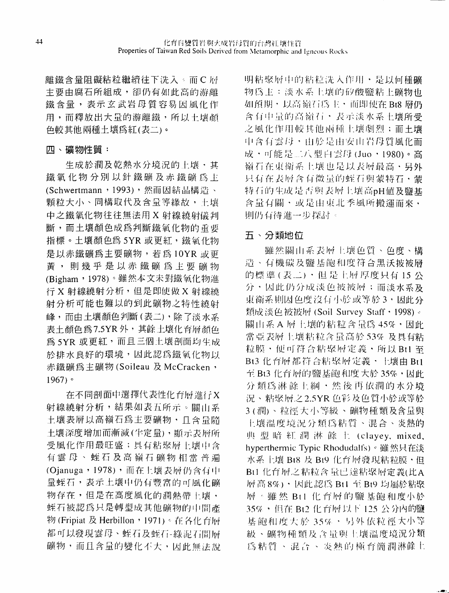離鐵含量阻礙粘粒繼續往下洗入。而C層 主要由腐石所組成, 卻仍有如此高的游離 鐵含量,表示玄武岩母質容易因風化作 用,而釋放出大量的游離鐵,所以土壤顏 色較其他兩種土壤為紅(表二)。

### 四、礦物性質:

生成於潤及乾熱水分境況的上壤,其 鐵氧化物分別以針鐵礦及赤鐵礦為主 (Schwertmann, 1993),然而因結晶構造、 顆粒大小、同構取代及含量等緣故,土壤 中之鐵氧化物往往無法用 X 射線繞射儀判 斷,而土壤顏色成爲判斷鐵氧化物的重要 指標。土壤顏色為5YR 或更紅,鐵氧化物 是以赤鐵礦為主要礦物,若為10YR 或更 黃,則幾乎是以赤鐵礦爲上要礦物 (Bigham, 1978)。雖然本文未對鐵氧化物進 行 X 射線繞射分析, 但是即使做 X 射線繞 射分析可能也難以的到此礦物之特性繞射 峰,而由土壤顏色判斷(表二),除了淡水系 表土顏色為7.5YR外,其餘土壤化育層顏色 為 5YR 或更紅,而且三個土壤剖面均生成 於排水良好的環境,因此認為鐵氧化物以 赤鐵礦為主礦物(Soileau 及 McCracken,  $1967$ )  $\circ$ 

在不同剖面中選擇代表性化育層進行X 射線繞射分析,結果如表五所示。關山系 土壤表層以高嶺石為主要礦物,且含量隨 土壤深度增加而漸減(半定量),顯示表層所 受風化作用最旺盛;具有粘聚層上壤中含 有雲母、蛭石及高嶺石礦物相當普遍 (Ojanuga, 1978),而在上壤表層仍含有中 量蛭石,表示上壤中仍有豐富的可風化礦 物存在,但是在高度風化的潤熱帶十壤, 蛭石被認為只是轉型成其他礦物的中間產 物 (Fripiat 及 Herbillon, 1971)。在各化台層 都可以發現雲母、蛭石及蛭石-綠泥石間層 礦物,而且含量的變化不大,因此無法說 明粘聚層中的粘粒洗入作用,是以何種礦 物為主;淡水系上壤的矽酸鹽粘上礦物也 如預期,以高嶺石為主,而即使在 Bt8 層仍 含有中量的高嶺石,表示淡水系土壤所受 之風化作用較其他兩種土壤劇烈;而土壤 中含有雲母,由於是由安山岩母質風化而 成,可能是二八型白雲母(Juo,1980)。高 嶺石在東衛系上壤也是以表層最高·另外 只有在表層含有微量的蛭石與蒙特石·蒙 特石的生成是否與表層上壤高pH值及鹽基 含量有關,或是由東北季風所搬運而來, 則仍有待進一步探討。

## 五、分類地位

雖然關山系表層上壤色質、色度、構 造、有機碳及鹽基飽和度符合黑沃披被層 的標準(表二),但是上層厚度只有15公 分,因此仍分成淡色被被層;而淡水系及 東衛系則因色度沒有小於或等於3,因此分 類成淡色被被層 (Soil Survey Staff · 1998)。 關山系A 層上壤的粘粒含量為 45%, 因此 當亞表層上壤粘粒含量高於53%及具有粘 粒膜,便可符合粘聚層定義,所以Btl至 Bt3 化育層都符合粘聚層定義,上壤由 Bt1 至 Bt3 化育層的鹽基飽和度大於 35%, 因此 分類為淋餘上綱,然後再依潤的水分境 況、粘聚層之2.5YR 色彩及色質小於或等於 3(潤)、粒徑大小等級、礦物種類及含量與 上壤温度境況分類為粘質、混合、炎熱的 典型暗紅潤淋餘土 (clayey, mixed, hyperthermic Typic Rhodudalfs)。雖然只在淡 水系上壤 Bt8 及 Bt9 化育層發現粘粒膜,但 Bt1 化育層之粘粒含量已達粘聚層定義(比A 層高8%),因此認為 Bt1 至 Bt9 均屬於粘聚 層。雖然 Bt1 化育層的鹽基飽和度小於 35%,但在 Bt2 化育層以下 125 公分內的鹽 基 飽和度大於 35%, 另外依粒徑大小等 級、礦物種類及含量與土壤溫度境況分類 為粘質、混合、炎熱的極育簡潤淋餘土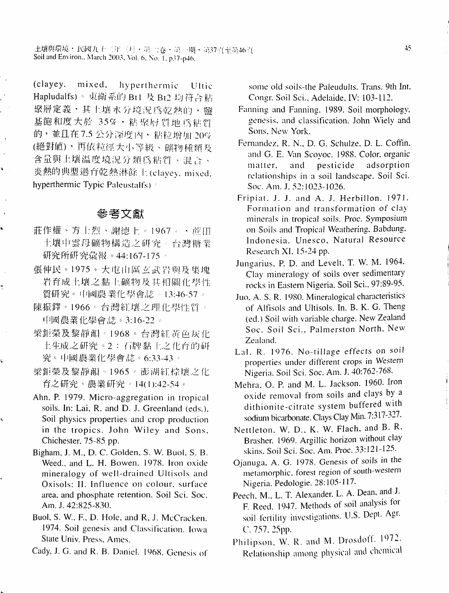(clayey, mixed. hyperthermic Ultic Hapludalfs)。東衛系的 Bt1 及 Bt2 均符合粘 聚層定義,其上壤水分境況為乾熱的,鹽 基飽和度大於 35%,粘聚層質地為粘質 的,並且在7.5公分深度內,粘粒增加20% (絕對值),再依粒徑大小等級、礦物種類及 含量與土壤溫度境況分類為粘質、混合、 炎熱的典型過育乾熱淋餘上(clayey, mixed, hyperthermic Typic Paleustalfs)

## 參考文獻

 $\ddot{\phantom{0}}$ 

k.

- 莊作權、方士烈、謝德上。1967。 ・声田 土壤中雲母礦物構造之研究。台灣糖業 研究所研究彙報。44:167-175。
- 張仲民。1975。大屯山區玄武岩與及集塊 岩育成土壤之黏土礦物及其相關化學性 質研究。中國農業化學會誌。13:46-57。
- 陳振鐸。1966。台灣紅壤之理化學性質。 中國農業化學會誌。3:16-22。
- 梁鉅榮及黎靜韻。1968。台灣紅黃色灰化 土生成之研究。2:石牌黏土之化育的研 究。中國農業化學會誌。6:33-43。
- 梁鉅榮及黎靜韻。1965。澎湖紅棕壤之化 育之研究。農業研究。14(1):42-54。
- Ahn, P. 1979. Micro-aggregation in tropical soils. In: Lai, R. and D. J. Greenland (eds.), Soil physics properties and crop production in the tropics. John Wiley and Sons, Chichester, 75-85 pp.
- Bigham, J. M., D. C. Golden, S. W. Buol, S. B. Weed., and L. H. Bowen. 1978. Iron oxide mineralogy of well-drained Ultisols and Oxisols: II. Influence on colour, surface area, and phosphate retention. Soil Sci. Soc. Am. J. 42:825-830.
- Buol, S. W., F., D. Hole, and R. J. McCracken. 1974. Soil genesis and Classification. Iowa State Univ. Press, Ames.

Cady, J. G. and R. B. Daniel. 1968. Genesis of

some old soils-the Paleudults. Trans. 9th Int. Congr. Soil Sci., Adelaide, IV: 103-112.

- Fanning and Fanning. 1989. Soil morphology, genesis, and classification. John Wiely and Sons, New York.
- Fernandez, R. N., D. G. Schulze, D. L. Coffin. and G. E. Van Scovoc. 1988. Color, organic pesticide adsorption matter, and relationships in a soil landscape. Soil Sci. Soc. Am. J. 52:1023-1026.
- Fripiat, J. J. and A. J. Herbillon. 1971. Formation and transformation of clay minerals in tropical soils. Proc. Symposium on Soils and Tropical Weathering, Babdung, Indonesia. Unesco, Natural Resource Research XI, 15-24 pp.
- Jungarius, P. D. and Levelt, T. W. M. 1964. Clay mineralogy of soils over sedimentary rocks in Eastern Nigeria. Soil Sci., 97:89-95.
- Juo, A. S. R. 1980. Mineralogical characteristics of Alfisols and Ultisols. In. B. K. G. Theng (ed.) Soil with variable charge. New Zealand Soc. Soil Sci., Palmerston North, New Zealand.
- Lal, R. 1976. No-tillage effects on soil properties under different crops in Western Nigeria. Soil Sci. Soc. Am. J. 40:762-768.
- Mehra, O. P. and M. L. Jackson. 1960. Iron oxide removal from soils and clays by a dithionite-citrate system buffered with sodium bicarbonate. Clays Clay Min. 7:317-327.
- Nettleton, W. D., K. W. Flach, and B. R. Brasher. 1969. Argillic horizon without clay skins. Soil Sci. Soc. Am. Proc. 33:121-125.
- Ojanuga, A. G. 1978. Genesis of soils in the metamorphic, forest region of south-western Nigeria. Pedologie. 28:105-117.
- Peech, M., L. T. Alexander, L. A. Dean, and J. F. Reed. 1947. Methods of soil analysis for soil fertility investigations. U.S. Dept. Agr. C. 757, 25pp.
- Philipson, W. R. and M. Drosdoff. 1972. Relationship among physical and chemical